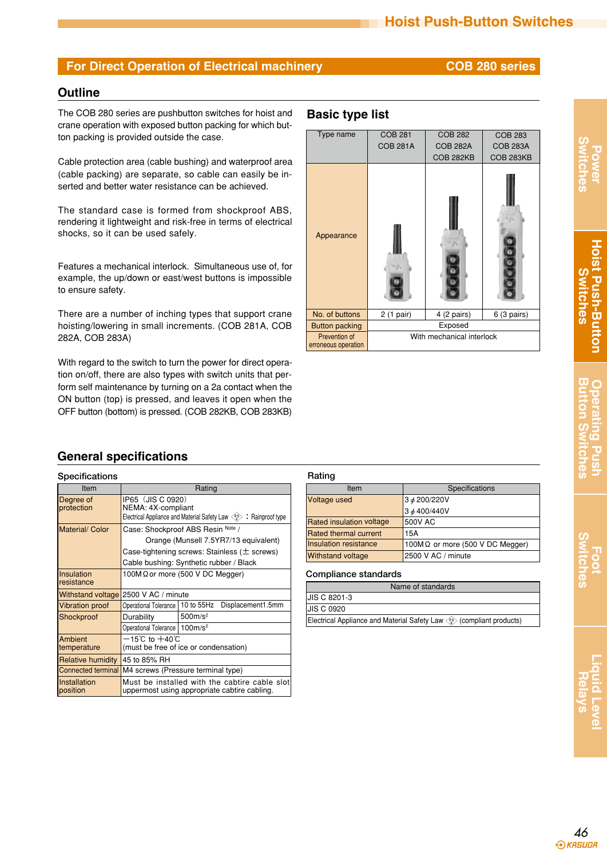## **Outline**

The COB 280 series are pushbutton switches for hoist and **Basic type list** crane operation with exposed button packing for which button packing is provided outside the case.

Cable protection area (cable bushing) and waterproof area (cable packing) are separate, so cable can easily be inserted and better water resistance can be achieved.

The standard case is formed from shockproof ABS, rendering it lightweight and risk-free in terms of electrical shocks, so it can be used safely.

Features a mechanical interlock. Simultaneous use of, for example, the up/down or east/west buttons is impossible to ensure safety.

There are a number of inching types that support crane hoisting/lowering in small increments. (COB 281A, COB 282A, COB 283A)

With regard to the switch to turn the power for direct operation on/off, there are also types with switch units that perform self maintenance by turning on a 2a contact when the ON button (top) is pressed, and leaves it open when the OFF button (bottom) is pressed. (COB 282KB, COB 283KB)



# **General specifications**

| <b>Specifications</b>            |                                                                                                                                                                            |                                                                                               | Rating    |  |
|----------------------------------|----------------------------------------------------------------------------------------------------------------------------------------------------------------------------|-----------------------------------------------------------------------------------------------|-----------|--|
| Item                             |                                                                                                                                                                            |                                                                                               |           |  |
| Degree of<br>protection          | IP65 (JIS C 0920)<br>NEMA: 4X-compliant<br>Electrical Appliance and Material Safety Law $\langle \hat{E} \rangle$ : Rainproof type                                         | Voltage                                                                                       |           |  |
| Material/ Color                  | Case: Shockproof ABS Resin Note /<br>Orange (Munsell 7.5YR7/13 equivalent)<br>Case-tightening screws: Stainless ( $\pm$ screws)<br>Cable bushing: Synthetic rubber / Black | <b>Rated ir</b><br><b>Rated th</b><br>Insulatio<br>Withstar                                   |           |  |
| <b>Insulation</b><br>Iresistance | 100M $\Omega$ or more (500 V DC Megger)                                                                                                                                    | Compl                                                                                         |           |  |
| <b>Withstand voltage</b>         | 2500 V AC / minute                                                                                                                                                         |                                                                                               | JIS C 82  |  |
| <b>Vibration proof</b>           | Operational Tolerance                                                                                                                                                      | 10 to 55Hz<br>Displacement1.5mm                                                               | JIS C 09  |  |
| Shockproof                       | Durability<br>Operational Tolerance   100m/s <sup>2</sup>                                                                                                                  | 500m/s <sup>2</sup>                                                                           | Electrica |  |
| Ambient<br>temperature           | —15℃ to +40℃                                                                                                                                                               | (must be free of ice or condensation)                                                         |           |  |
| <b>Relative humidity</b>         | 45 to 85% RH                                                                                                                                                               |                                                                                               |           |  |
| <b>Connected terminal</b>        |                                                                                                                                                                            | M4 screws (Pressure terminal type)                                                            |           |  |
| <b>Installation</b><br>position  |                                                                                                                                                                            | Must be installed with the cabtire cable slot<br>uppermost using appropriate cabtire cabling. |           |  |

| Item                            | Specifications                          |  |
|---------------------------------|-----------------------------------------|--|
| Voltage used                    | 3 ¢ 200/220V                            |  |
|                                 | 3 ø 400/440V                            |  |
| <b>Rated insulation voltage</b> | 500V AC                                 |  |
| <b>Rated thermal current</b>    | 15A                                     |  |
| Insulation resistance           | 100M $\Omega$ or more (500 V DC Megger) |  |
| <b>Withstand voltage</b>        | 2500 V AC / minute                      |  |

### **Compliance standards**

| Name of standards                                                                             |  |
|-----------------------------------------------------------------------------------------------|--|
| JIS C 8201-3                                                                                  |  |
| <b>JIS C 0920</b>                                                                             |  |
| Electrical Appliance and Material Safety Law $\langle \hat{f}_z \rangle$ (compliant products) |  |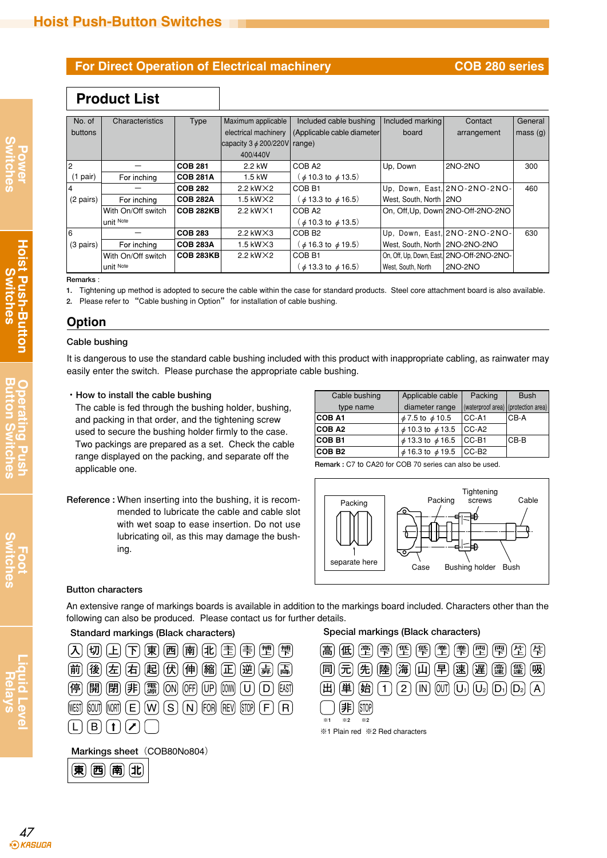# **Product List**

| No. of              | Characteristics    | Type             | Maximum applicable                | Included cable bushing              | Included marking                 | Contact                                   | General |
|---------------------|--------------------|------------------|-----------------------------------|-------------------------------------|----------------------------------|-------------------------------------------|---------|
| buttons             |                    |                  | electrical machinery              | (Applicable cable diameter)         | board                            | arrangement                               | mass(g) |
|                     |                    |                  | capacity $3 \phi$ 200/220V range) |                                     |                                  |                                           |         |
|                     |                    |                  | 400/440V                          |                                     |                                  |                                           |         |
|                     |                    | <b>COB 281</b>   | 2.2 kW                            | COB <sub>A2</sub>                   | Up. Down                         | 2NO-2NO                                   | 300     |
| $(1$ pair)          | For inching        | <b>COB 281A</b>  | 1.5 kW                            | $(\phi 10.3 \text{ to } \phi 13.5)$ |                                  |                                           |         |
|                     |                    | <b>COB 282</b>   | 2.2 kW $\times$ 2                 | COB <sub>B1</sub>                   |                                  | Up. Down, East. 2NO-2NO-2NO-              | 460     |
| (2 pairs)           | For inching        | <b>COB 282A</b>  | $1.5$ kW $\times$ 2               | $(d)$ 13.3 to $d$ 16.5)             | West, South, North 2NO           |                                           |         |
|                     | With On/Off switch | <b>COB 282KB</b> | 2.2 kW $\times$ 1                 | COB <sub>A2</sub>                   |                                  | On, Off, Up, Down 2NO-Off-2NO-2NO         |         |
|                     | unit Note          |                  |                                   | $($ $\phi$ 10.3 to $\phi$ 13.5)     |                                  |                                           |         |
| <sup>6</sup>        |                    | <b>COB 283</b>   | 2.2 kW $\times$ 3                 | COB <sub>B2</sub>                   |                                  | Up. Down, East. 2NO-2NO-2NO-              | 630     |
| $(3 \text{ pairs})$ | For inching        | <b>COB 283A</b>  | $1.5$ kW $\times$ 3               | $(d)$ 16.3 to $d$ 19.5)             | West, South, North   2NO-2NO-2NO |                                           |         |
|                     | With On/Off switch | <b>COB 283KB</b> | 2.2 kW $\times$ 2                 | COB <sub>B1</sub>                   |                                  | On, Off, Up, Down, East, 2NO-Off-2NO-2NO- |         |
|                     | unit Note          |                  |                                   | $(d)$ 13.3 to $d$ 16.5)             | West, South, North               | 2NO-2NO                                   |         |

**Remarks** :

**1.** Tightening up method is adopted to secure the cable within the case for standard products. Steel core attachment board is also available.

**2.** Please refer to "Cable bushing in Option" for installation of cable bushing.

## **Option**

### **Cable bushing**

It is dangerous to use the standard cable bushing included with this product with inappropriate cabling, as rainwater may easily enter the switch. Please purchase the appropriate cable bushing.

### **・How to install the cable bushing**

The cable is fed through the bushing holder, bushing, and packing in that order, and the tightening screw used to secure the bushing holder firmly to the case. Two packings are prepared as a set. Check the cable range displayed on the packing, and separate off the applicable one.

| Cable bushing | Applicable cable           | Packing                             | <b>Bush</b> |
|---------------|----------------------------|-------------------------------------|-------------|
| type name     | diameter range             | (waterproof area) (protection area) |             |
| <b>COB A1</b> | $\phi$ 7.5 to $\phi$ 10.5  | CC-A1                               | ICB-A       |
| <b>COB A2</b> | $\phi$ 10.3 to $\phi$ 13.5 | $ CC-A2 $                           |             |
| <b>COB B1</b> | $\phi$ 13.3 to $\phi$ 16.5 | $ CC-B1$                            | ICB-B       |
| <b>COB B2</b> | $\phi$ 16.3 to $\phi$ 19.5 | $ CC-B2 $                           |             |

**Remark :** C7 to CA20 for COB 70 series can also be used.





### **Button characters**

An extensive range of markings boards is available in addition to the markings board included. Characters other than the following can also be produced. Please contact us for further details.

| , [切] $\left( \text{E} \right)$ $\left( \text{F} \right)$ $\left( \text{F} \right)$ $\left( \text{F} \right)$ $\left( \text{F} \right)$ $\left( \text{F} \right)$ $\left( \text{F} \right)$ $\left( \text{F} \right)$ $\left( \text{F} \right)$ $\left( \text{F} \right)$<br>$\mathcal{L}$                                                                                                                                                                                                                                                                                                                                                                                                                      | $\mathbb{I}$ (低) (重) (雫) (雪) (髻) (耋)<br>高                                                                                                                                                                                                             |
|-----------------------------------------------------------------------------------------------------------------------------------------------------------------------------------------------------------------------------------------------------------------------------------------------------------------------------------------------------------------------------------------------------------------------------------------------------------------------------------------------------------------------------------------------------------------------------------------------------------------------------------------------------------------------------------------------------------------|-------------------------------------------------------------------------------------------------------------------------------------------------------------------------------------------------------------------------------------------------------|
| $\left[\stackrel{\leftrightarrow}{\mathfrak{m}}\right]\left[\stackrel{\leftrightarrow}{\mathcal{R}}\right]\left[\stackrel{\leftrightarrow}{\mathcal{K}}\right]\left[\stackrel{\leftrightarrow}{\mathcal{R}}\right]\left[\stackrel{\leftrightarrow}{\mathcal{R}}\right]\left[\stackrel{\leftrightarrow}{\mathfrak{m}}\right]\left[\stackrel{\leftrightarrow}{\mathfrak{m}}\right]\left[\stackrel{\leftrightarrow}{\mathfrak{m}}\right]\left[\stackrel{\leftrightarrow}{\mathfrak{m}}\right]\left[\stackrel{\leftrightarrow}{\mathfrak{m}}\right]\left[\stackrel{\leftrightarrow}{\mathfrak{m}}\right]\left[\stackrel{\leftrightarrow}{\mathfrak{m}}\right]\left[\stackrel{\leftrightarrow}{\mathfrak{m}}\right]$ | $\left[\widehat{\mathsf{m}}\right]\left[\widehat{\mathsf{\pi}}\right]\left[\widehat{\mathsf{\pi}}\right]\left[\widehat{\mathsf{\Xi}}\right]\left[\widehat{\mathsf{\Xi}}\right]\left[\widehat{\mathsf{\Xi}}\right]\left[\widehat{\mathsf{\Xi}}\right]$ |
| (停) (開) (閉) (非) (霧) (ON) (OFF) (UP) [00M) (U) (D) [AST)                                                                                                                                                                                                                                                                                                                                                                                                                                                                                                                                                                                                                                                         | $[h$ $(1)$<br>(田) (東)<br><b>OUT</b><br>(2)(N)                                                                                                                                                                                                         |
| $[MEST]$ (sout) $[NORT]$ $[EC]$ $[VV]$ $[S]$ $[N]$ $[FOR]$ $[RED]$ $[STOP]$ $[F]$ $[R]$                                                                                                                                                                                                                                                                                                                                                                                                                                                                                                                                                                                                                         | (STOP)<br>非                                                                                                                                                                                                                                           |
| (L)                                                                                                                                                                                                                                                                                                                                                                                                                                                                                                                                                                                                                                                                                                             | $\times 2$<br>$\times 1$<br>$*2$<br>※1 Plain red ※2 Red characters                                                                                                                                                                                    |

Markings sheet (COB80No804)

| æ<br>= |
|--------|
|--------|

## **Standard markings (Black characters) Special markings (Black characters)**

| $\left[\begin{matrix} \begin{bmatrix} \mathbf{f} \\ \mathbf{f} \end{bmatrix} \begin{bmatrix} \mathbf{f} \\ \mathbf{f} \end{bmatrix} \begin{bmatrix} \mathbf{f} \\ \mathbf{f} \end{bmatrix} \begin{bmatrix} \mathbf{f} \\ \mathbf{f} \end{bmatrix} \begin{bmatrix} \mathbf{f} \\ \mathbf{f} \end{bmatrix} \begin{bmatrix} \mathbf{f} \\ \mathbf{f} \end{bmatrix} \begin{bmatrix} \mathbf{f} \\ \mathbf{f} \end{bmatrix} \begin{bmatrix} \mathbf{f} \\ \mathbf{f} \end{bmatrix} \begin{bmatrix} \mathbf{f} \\$ |
|--------------------------------------------------------------------------------------------------------------------------------------------------------------------------------------------------------------------------------------------------------------------------------------------------------------------------------------------------------------------------------------------------------------------------------------------------------------------------------------------------------------|
| $\left[\widehat{\mathsf{m}}\right]\left[\widehat{\mathsf{m}}\right]\left[\widehat{\mathsf{m}}\right]\left[\widehat{\mathsf{m}}\right]\left[\widehat{\mathsf{m}}\right]\left[\widehat{\mathsf{m}}\right]\left[\widehat{\mathsf{m}}\right]\left[\widehat{\mathsf{m}}\right]\left[\widehat{\mathsf{m}}\right]\left[\widehat{\mathsf{m}}\right]$<br>(吸                                                                                                                                                           |
| $[\frac{1}{2}]$ (1) (2) (IN) (OUT) (U <sub>1</sub> ) (U <sub>2</sub> ) (D <sub>1</sub> ) (D <sub>2</sub> ) (A)<br>「単」                                                                                                                                                                                                                                                                                                                                                                                        |
|                                                                                                                                                                                                                                                                                                                                                                                                                                                                                                              |
| $\times 1$<br>$*2$<br>$\times 2$<br>※1 Plain red ※2 Red characters                                                                                                                                                                                                                                                                                                                                                                                                                                           |

 $\underline{\mathbf{\nabla}}$  C

**Power Switches**

**Hoist Push-Button Switches**

**Hoist Push-Button**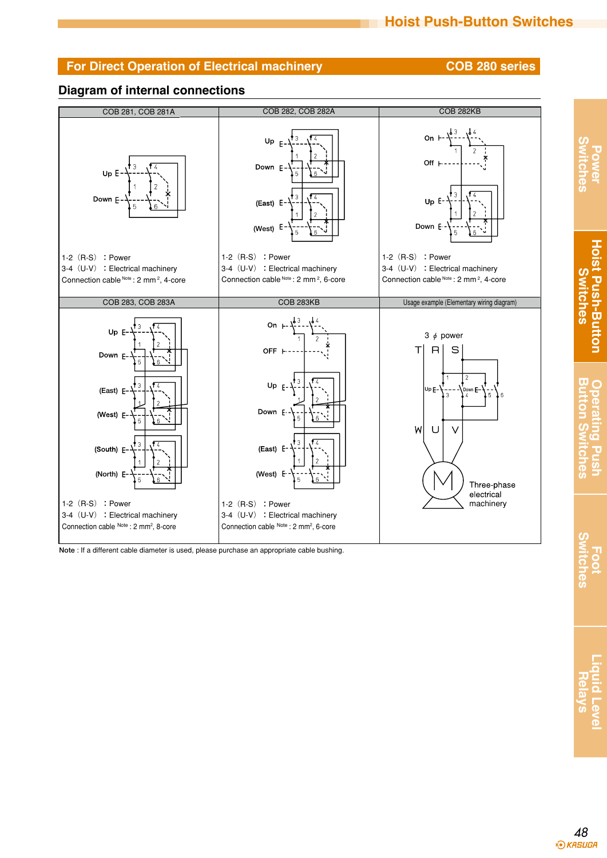**Power Switches**

**Hoist Push-Button Switches**

**Hoist Push-Button Switches** 

**Button Switches Operating Push**

Operating Pus

**Button S** 

**Foot Switches**

Switches

**Liquid Level Relays**

## **Diagram of internal connections**



**Note** : If a different cable diameter is used, please purchase an appropriate cable bushing.